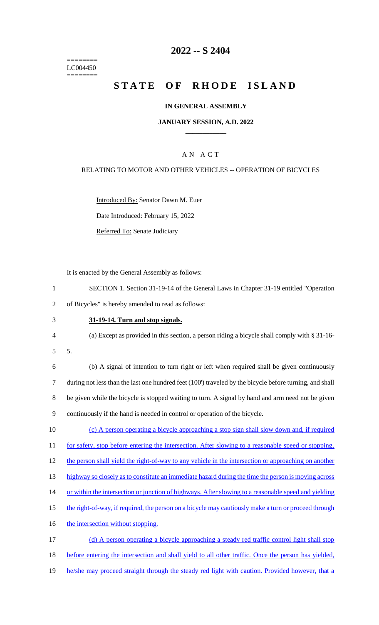======== LC004450 ========

# **2022 -- S 2404**

# **STATE OF RHODE ISLAND**

### **IN GENERAL ASSEMBLY**

### **JANUARY SESSION, A.D. 2022 \_\_\_\_\_\_\_\_\_\_\_\_**

### A N A C T

### RELATING TO MOTOR AND OTHER VEHICLES -- OPERATION OF BICYCLES

Introduced By: Senator Dawn M. Euer

Date Introduced: February 15, 2022

Referred To: Senate Judiciary

It is enacted by the General Assembly as follows:

1 SECTION 1. Section 31-19-14 of the General Laws in Chapter 31-19 entitled "Operation 2 of Bicycles" is hereby amended to read as follows:

3 **31-19-14. Turn and stop signals.**

4 (a) Except as provided in this section, a person riding a bicycle shall comply with § 31-16-

5 5.

 (b) A signal of intention to turn right or left when required shall be given continuously during not less than the last one hundred feet (100') traveled by the bicycle before turning, and shall be given while the bicycle is stopped waiting to turn. A signal by hand and arm need not be given continuously if the hand is needed in control or operation of the bicycle.

10 (c) A person operating a bicycle approaching a stop sign shall slow down and, if required 11 for safety, stop before entering the intersection. After slowing to a reasonable speed or stopping, 12 the person shall yield the right-of-way to any vehicle in the intersection or approaching on another

13 highway so closely as to constitute an immediate hazard during the time the person is moving across

14 or within the intersection or junction of highways. After slowing to a reasonable speed and yielding

15 the right-of-way, if required, the person on a bicycle may cautiously make a turn or proceed through

16 the intersection without stopping.

17 (d) A person operating a bicycle approaching a steady red traffic control light shall stop 18 before entering the intersection and shall yield to all other traffic. Once the person has yielded, 19 he/she may proceed straight through the steady red light with caution. Provided however, that a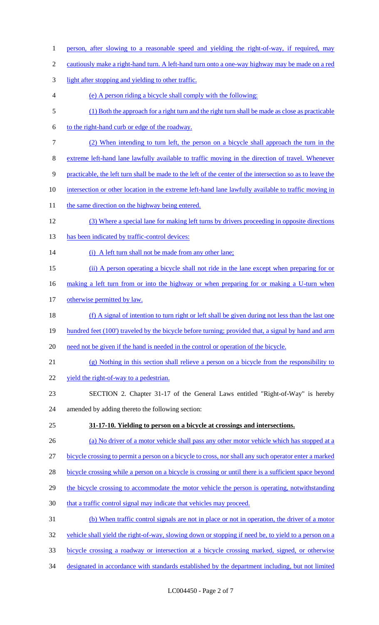1 person, after slowing to a reasonable speed and yielding the right-of-way, if required, may 2 cautiously make a right-hand turn. A left-hand turn onto a one-way highway may be made on a red 3 light after stopping and yielding to other traffic. 4 (e) A person riding a bicycle shall comply with the following: 5 (1) Both the approach for a right turn and the right turn shall be made as close as practicable 6 to the right-hand curb or edge of the roadway. 7 (2) When intending to turn left, the person on a bicycle shall approach the turn in the 8 extreme left-hand lane lawfully available to traffic moving in the direction of travel. Whenever 9 practicable, the left turn shall be made to the left of the center of the intersection so as to leave the 10 intersection or other location in the extreme left-hand lane lawfully available to traffic moving in 11 the same direction on the highway being entered. 12 (3) Where a special lane for making left turns by drivers proceeding in opposite directions 13 has been indicated by traffic-control devices: 14 (i) A left turn shall not be made from any other lane; 15 (ii) A person operating a bicycle shall not ride in the lane except when preparing for or 16 making a left turn from or into the highway or when preparing for or making a U-turn when 17 otherwise permitted by law. 18 (f) A signal of intention to turn right or left shall be given during not less than the last one 19 hundred feet (100') traveled by the bicycle before turning; provided that, a signal by hand and arm 20 need not be given if the hand is needed in the control or operation of the bicycle. 21 (g) Nothing in this section shall relieve a person on a bicycle from the responsibility to 22 yield the right-of-way to a pedestrian. 23 SECTION 2. Chapter 31-17 of the General Laws entitled "Right-of-Way" is hereby 24 amended by adding thereto the following section: 25 **31-17-10. Yielding to person on a bicycle at crossings and intersections.**  26 (a) No driver of a motor vehicle shall pass any other motor vehicle which has stopped at a 27 bicycle crossing to permit a person on a bicycle to cross, nor shall any such operator enter a marked 28 bicycle crossing while a person on a bicycle is crossing or until there is a sufficient space beyond 29 the bicycle crossing to accommodate the motor vehicle the person is operating, notwithstanding 30 that a traffic control signal may indicate that vehicles may proceed. 31 (b) When traffic control signals are not in place or not in operation, the driver of a motor 32 vehicle shall yield the right-of-way, slowing down or stopping if need be, to yield to a person on a 33 bicycle crossing a roadway or intersection at a bicycle crossing marked, signed, or otherwise 34 designated in accordance with standards established by the department including, but not limited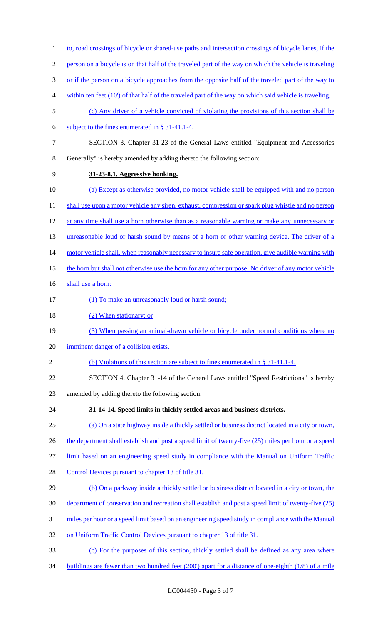| $\mathbf{1}$   | to, road crossings of bicycle or shared-use paths and intersection crossings of bicycle lanes, if the   |
|----------------|---------------------------------------------------------------------------------------------------------|
| $\overline{2}$ | person on a bicycle is on that half of the traveled part of the way on which the vehicle is traveling   |
| $\mathfrak{Z}$ | or if the person on a bicycle approaches from the opposite half of the traveled part of the way to      |
| $\overline{4}$ | within ten feet $(10)$ of that half of the traveled part of the way on which said vehicle is traveling. |
| 5              | (c) Any driver of a vehicle convicted of violating the provisions of this section shall be              |
| 6              | subject to the fines enumerated in $\S 31-41.1-4$ .                                                     |
| $\tau$         | SECTION 3. Chapter 31-23 of the General Laws entitled "Equipment and Accessories"                       |
| $8\,$          | Generally" is hereby amended by adding thereto the following section:                                   |
| 9              | 31-23-8.1. Aggressive honking.                                                                          |
| 10             | (a) Except as otherwise provided, no motor vehicle shall be equipped with and no person                 |
| 11             | shall use upon a motor vehicle any siren, exhaust, compression or spark plug whistle and no person      |
| 12             | at any time shall use a horn otherwise than as a reasonable warning or make any unnecessary or          |
| 13             | unreasonable loud or harsh sound by means of a horn or other warning device. The driver of a            |
| 14             | motor vehicle shall, when reasonably necessary to insure safe operation, give audible warning with      |
| 15             | the horn but shall not otherwise use the horn for any other purpose. No driver of any motor vehicle     |
| 16             | shall use a horn:                                                                                       |
| 17             | (1) To make an unreasonably loud or harsh sound;                                                        |
| 18             | (2) When stationary; or                                                                                 |
| 19             | (3) When passing an animal-drawn vehicle or bicycle under normal conditions where no                    |
| 20             | imminent danger of a collision exists.                                                                  |
| 21             | (b) Violations of this section are subject to fines enumerated in § 31-41.1-4.                          |
| 22             | SECTION 4. Chapter 31-14 of the General Laws entitled "Speed Restrictions" is hereby                    |
| 23             | amended by adding thereto the following section:                                                        |
| 24             | 31-14-14. Speed limits in thickly settled areas and business districts.                                 |
| 25             | (a) On a state highway inside a thickly settled or business district located in a city or town,         |
| 26             | the department shall establish and post a speed limit of twenty-five (25) miles per hour or a speed     |
| 27             | limit based on an engineering speed study in compliance with the Manual on Uniform Traffic              |
| 28             | Control Devices pursuant to chapter 13 of title 31.                                                     |
| 29             | (b) On a parkway inside a thickly settled or business district located in a city or town, the           |
| 30             | department of conservation and recreation shall establish and post a speed limit of twenty-five (25)    |
| 31             | miles per hour or a speed limit based on an engineering speed study in compliance with the Manual       |
| 32             | on Uniform Traffic Control Devices pursuant to chapter 13 of title 31.                                  |
| 33             | (c) For the purposes of this section, thickly settled shall be defined as any area where                |
| 34             | buildings are fewer than two hundred feet $(200')$ apart for a distance of one-eighth $(1/8)$ of a mile |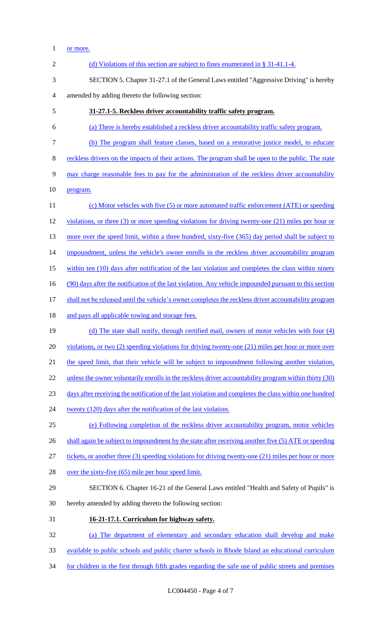# 1 <u>or more.</u>

| $\overline{2}$ | (d) Violations of this section are subject to fines enumerated in $\S 31-41.1-4$ .                     |
|----------------|--------------------------------------------------------------------------------------------------------|
| 3              | SECTION 5. Chapter 31-27.1 of the General Laws entitled "Aggressive Driving" is hereby                 |
| 4              | amended by adding thereto the following section:                                                       |
| 5              | 31-27.1-5. Reckless driver accountability traffic safety program.                                      |
| 6              | (a) There is hereby established a reckless driver accountability traffic safety program.               |
| 7              | (b) The program shall feature classes, based on a restorative justice model, to educate                |
| 8              | reckless drivers on the impacts of their actions. The program shall be open to the public. The state   |
| 9              | may charge reasonable fees to pay for the administration of the reckless driver accountability         |
| 10             | program.                                                                                               |
| 11             | (c) Motor vehicles with five (5) or more automated traffic enforcement (ATE) or speeding               |
| 12             | violations, or three $(3)$ or more speeding violations for driving twenty-one $(21)$ miles per hour or |
| 13             | more over the speed limit, within a three hundred, sixty-five (365) day period shall be subject to     |
| 14             | impoundment, unless the vehicle's owner enrolls in the reckless driver accountability program          |
| 15             | within ten (10) days after notification of the last violation and completes the class within ninety    |
| 16             | (90) days after the notification of the last violation. Any vehicle impounded pursuant to this section |
| 17             | shall not be released until the vehicle's owner completes the reckless driver accountability program   |
| 18             | and pays all applicable towing and storage fees.                                                       |
| 19             | (d) The state shall notify, through certified mail, owners of motor vehicles with four (4)             |
| 20             | violations, or two $(2)$ speeding violations for driving twenty-one $(21)$ miles per hour or more over |
| 21             | the speed limit, that their vehicle will be subject to impoundment following another violation,        |
| 22             | unless the owner voluntarily enrolls in the reckless driver accountability program within thirty (30)  |
| 23             | days after receiving the notification of the last violation and completes the class within one hundred |
| 24             | twenty (120) days after the notification of the last violation.                                        |
| 25             | (e) Following completion of the reckless driver accountability program, motor vehicles                 |
| 26             | shall again be subject to impoundment by the state after receiving another five (5) ATE or speeding    |
| 27             | tickets, or another three (3) speeding violations for driving twenty-one (21) miles per hour or more   |
| 28             | over the sixty-five (65) mile per hour speed limit.                                                    |
| 29             | SECTION 6. Chapter 16-21 of the General Laws entitled "Health and Safety of Pupils" is                 |
| 30             | hereby amended by adding thereto the following section:                                                |
| 31             | 16-21-17.1. Curriculum for highway safety.                                                             |
| 32             | (a) The department of elementary and secondary education shall develop and make                        |
| 33             | available to public schools and public charter schools in Rhode Island an educational curriculum       |
| 34             | for children in the first through fifth grades regarding the safe use of public streets and premises   |
|                |                                                                                                        |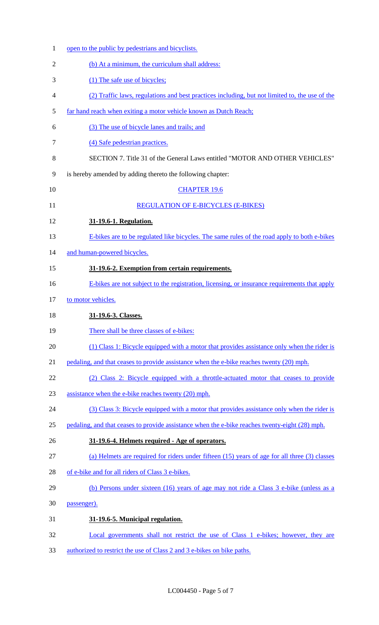| $\mathbf{1}$   | open to the public by pedestrians and bicyclists.                                              |
|----------------|------------------------------------------------------------------------------------------------|
| $\overline{2}$ | (b) At a minimum, the curriculum shall address:                                                |
| 3              | (1) The safe use of bicycles;                                                                  |
| 4              | (2) Traffic laws, regulations and best practices including, but not limited to, the use of the |
| 5              | far hand reach when exiting a motor vehicle known as Dutch Reach;                              |
| 6              | (3) The use of bicycle lanes and trails; and                                                   |
| 7              | (4) Safe pedestrian practices.                                                                 |
| 8              | SECTION 7. Title 31 of the General Laws entitled "MOTOR AND OTHER VEHICLES"                    |
| 9              | is hereby amended by adding thereto the following chapter:                                     |
| 10             | <b>CHAPTER 19.6</b>                                                                            |
| 11             | <b>REGULATION OF E-BICYCLES (E-BIKES)</b>                                                      |
| 12             | 31-19.6-1. Regulation.                                                                         |
| 13             | E-bikes are to be regulated like bicycles. The same rules of the road apply to both e-bikes    |
| 14             | and human-powered bicycles.                                                                    |
| 15             | 31-19.6-2. Exemption from certain requirements.                                                |
| 16             | E-bikes are not subject to the registration, licensing, or insurance requirements that apply   |
| 17             | to motor vehicles.                                                                             |
| 18             | 31-19.6-3. Classes.                                                                            |
| 19             | There shall be three classes of e-bikes:                                                       |
| 20             | (1) Class 1: Bicycle equipped with a motor that provides assistance only when the rider is     |
| 21             | pedaling, and that ceases to provide assistance when the e-bike reaches twenty (20) mph.       |
| 22             | (2) Class 2: Bicycle equipped with a throttle-actuated motor that ceases to provide            |
| 23             | assistance when the e-bike reaches twenty (20) mph.                                            |
| 24             | (3) Class 3: Bicycle equipped with a motor that provides assistance only when the rider is     |
| 25             | pedaling, and that ceases to provide assistance when the e-bike reaches twenty-eight (28) mph. |
| 26             | 31-19.6-4. Helmets required - Age of operators.                                                |
| 27             | (a) Helmets are required for riders under fifteen (15) years of age for all three (3) classes  |
| 28             | of e-bike and for all riders of Class 3 e-bikes.                                               |
| 29             | (b) Persons under sixteen (16) years of age may not ride a Class 3 e-bike (unless as a         |
| 30             | passenger).                                                                                    |
| 31             | 31-19.6-5. Municipal regulation.                                                               |
| 32             | Local governments shall not restrict the use of Class 1 e-bikes; however, they are             |
| 33             | authorized to restrict the use of Class 2 and 3 e-bikes on bike paths.                         |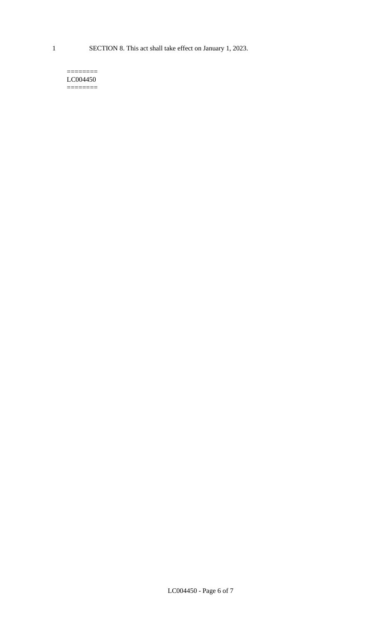#### $=$ LC004450 ========